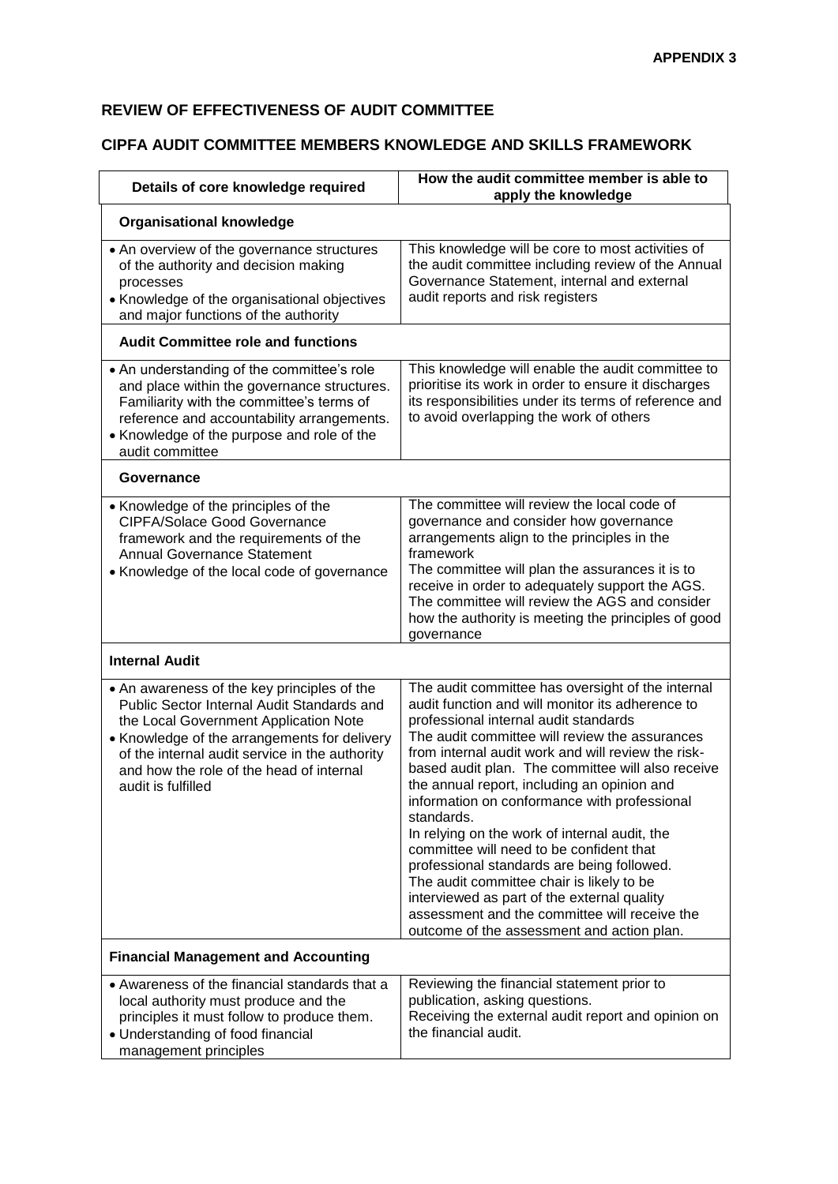## **REVIEW OF EFFECTIVENESS OF AUDIT COMMITTEE**

## **CIPFA AUDIT COMMITTEE MEMBERS KNOWLEDGE AND SKILLS FRAMEWORK**

| Details of core knowledge required                                                                                                                                                                                                                                                                     | How the audit committee member is able to<br>apply the knowledge                                                                                                                                                                                                                                                                                                                                                                                                                                                                                                                                                                                                                                                                                               |
|--------------------------------------------------------------------------------------------------------------------------------------------------------------------------------------------------------------------------------------------------------------------------------------------------------|----------------------------------------------------------------------------------------------------------------------------------------------------------------------------------------------------------------------------------------------------------------------------------------------------------------------------------------------------------------------------------------------------------------------------------------------------------------------------------------------------------------------------------------------------------------------------------------------------------------------------------------------------------------------------------------------------------------------------------------------------------------|
| <b>Organisational knowledge</b>                                                                                                                                                                                                                                                                        |                                                                                                                                                                                                                                                                                                                                                                                                                                                                                                                                                                                                                                                                                                                                                                |
| • An overview of the governance structures<br>of the authority and decision making<br>processes<br>• Knowledge of the organisational objectives<br>and major functions of the authority                                                                                                                | This knowledge will be core to most activities of<br>the audit committee including review of the Annual<br>Governance Statement, internal and external<br>audit reports and risk registers                                                                                                                                                                                                                                                                                                                                                                                                                                                                                                                                                                     |
| <b>Audit Committee role and functions</b>                                                                                                                                                                                                                                                              |                                                                                                                                                                                                                                                                                                                                                                                                                                                                                                                                                                                                                                                                                                                                                                |
| • An understanding of the committee's role<br>and place within the governance structures.<br>Familiarity with the committee's terms of<br>reference and accountability arrangements.<br>• Knowledge of the purpose and role of the<br>audit committee                                                  | This knowledge will enable the audit committee to<br>prioritise its work in order to ensure it discharges<br>its responsibilities under its terms of reference and<br>to avoid overlapping the work of others                                                                                                                                                                                                                                                                                                                                                                                                                                                                                                                                                  |
| Governance                                                                                                                                                                                                                                                                                             |                                                                                                                                                                                                                                                                                                                                                                                                                                                                                                                                                                                                                                                                                                                                                                |
| • Knowledge of the principles of the<br>CIPFA/Solace Good Governance<br>framework and the requirements of the<br><b>Annual Governance Statement</b><br>• Knowledge of the local code of governance                                                                                                     | The committee will review the local code of<br>governance and consider how governance<br>arrangements align to the principles in the<br>framework<br>The committee will plan the assurances it is to<br>receive in order to adequately support the AGS.<br>The committee will review the AGS and consider<br>how the authority is meeting the principles of good<br>governance                                                                                                                                                                                                                                                                                                                                                                                 |
| <b>Internal Audit</b>                                                                                                                                                                                                                                                                                  |                                                                                                                                                                                                                                                                                                                                                                                                                                                                                                                                                                                                                                                                                                                                                                |
| • An awareness of the key principles of the<br>Public Sector Internal Audit Standards and<br>the Local Government Application Note<br>• Knowledge of the arrangements for delivery<br>of the internal audit service in the authority<br>and how the role of the head of internal<br>audit is fulfilled | The audit committee has oversight of the internal<br>audit function and will monitor its adherence to<br>professional internal audit standards<br>The audit committee will review the assurances<br>from internal audit work and will review the risk-<br>based audit plan. The committee will also receive<br>the annual report, including an opinion and<br>information on conformance with professional<br>standards.<br>In relying on the work of internal audit, the<br>committee will need to be confident that<br>professional standards are being followed.<br>The audit committee chair is likely to be<br>interviewed as part of the external quality<br>assessment and the committee will receive the<br>outcome of the assessment and action plan. |
| <b>Financial Management and Accounting</b>                                                                                                                                                                                                                                                             |                                                                                                                                                                                                                                                                                                                                                                                                                                                                                                                                                                                                                                                                                                                                                                |
| • Awareness of the financial standards that a<br>local authority must produce and the<br>principles it must follow to produce them.<br>• Understanding of food financial<br>management principles                                                                                                      | Reviewing the financial statement prior to<br>publication, asking questions.<br>Receiving the external audit report and opinion on<br>the financial audit.                                                                                                                                                                                                                                                                                                                                                                                                                                                                                                                                                                                                     |